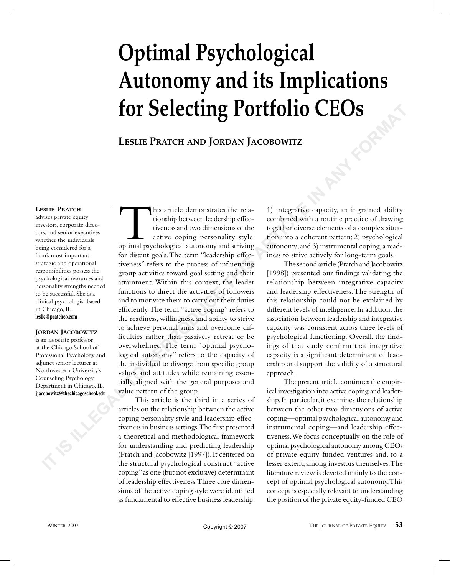# **Optimal Psychological Autonomy and its Implications for Selecting Portfolio CEOs**

**Leslie Pratch and Jordan Jacobowitz**

#### **Leslie Pratch**

advises private equity investors, corporate directors, and senior executives whether the individuals being considered for a firm's most important strategic and operational responsibilities possess the psychological resources and personality strengths needed to be successful. She is a clinical psychologist based in Chicago, IL. **leslie@pratchco.com**

#### **Jordan Jacobowitz**

is an associate professor at the Chicago School of Professional Psychology and adjunct senior lecturer at Northwestern University's Counseling Psychology Department in Chicago, IL. **jjacobowitz@thechicagoschool.edu**

This article demonstrates the rela-<br>tionship between leadership effec-<br>tiveness and two dimensions of the<br>active coping personality style:<br>optimal psychological autonomy and striving tionship between leadership effectiveness and two dimensions of the active coping personality style: for distant goals. The term "leadership effectiveness" refers to the process of influencing group activities toward goal setting and their attainment. Within this context, the leader functions to direct the activities of followers and to motivate them to carry out their duties efficiently. The term "active coping" refers to the readiness, willingness, and ability to strive to achieve personal aims and overcome difficulties rather than passively retreat or be overwhelmed. The term "optimal psychological autonomy" refers to the capacity of the individual to diverge from specific group values and attitudes while remaining essentially aligned with the general purposes and value pattern of the group. **IOT Selecting Portional Lease PRACE INTERNATION CEOSE AND SERVICE SERVICE SERVICE SERVICE SERVICE SUPER CONDUCTS (SERVICE SERVICE SERVICE SERVICE SERVICE SERVICE SERVICE SERVICE SERVICE SERVICE SERVICE SERVICE SERVICE SE** 

This article is the third in a series of articles on the relationship between the active coping personality style and leadership effectiveness in business settings. The first presented a theoretical and methodological framework for understanding and predicting leadership (Pratch and Jacobowitz [1997]). It centered on the structural psychological construct "active coping" as one (but not exclusive) determinant of leadership effectiveness. Three core dimensions of the active coping style were identified as fundamental to effective business leadership:

1) integrative capacity, an ingrained ability combined with a routine practice of drawing together diverse elements of a complex situation into a coherent pattern; 2) psychological autonomy; and 3) instrumental coping, a readiness to strive actively for long-term goals.

The second article (Pratch and Jacobowitz [1998]) presented our findings validating the relationship between integrative capacity and leadership effectiveness. The strength of this relationship could not be explained by different levels of intelligence. In addition, the association between leadership and integrative capacity was consistent across three levels of psychological functioning. Overall, the findings of that study confirm that integrative capacity is a significant determinant of leadership and support the validity of a structural approach.

The present article continues the empirical investigation into active coping and leadership. In particular, it examines the relationship between the other two dimensions of active coping—optimal psychological autonomy and instrumental coping—and leadership effectiveness. We focus conceptually on the role of optimal psychological autonomy among CEOs of private equity-funded ventures and, to a lesser extent, among investors themselves. The literature review is devoted mainly to the concept of optimal psychological autonomy. This concept is especially relevant to understanding the position of the private equity-funded CEO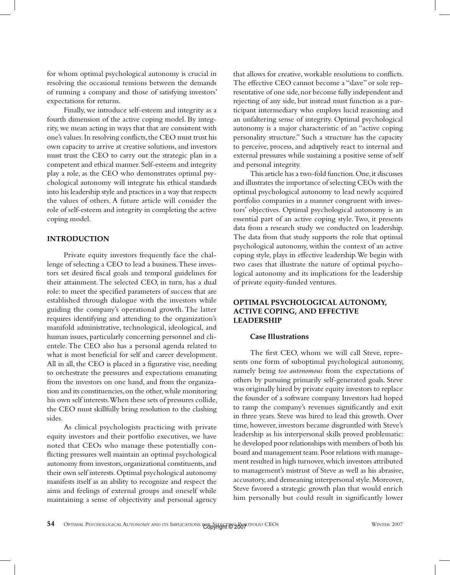for whom optimal psychological autonomy is crucial in resolving the occasional tensions between the demands of running a company and those of satisfying investors' expectations for returns.

Finally, we introduce self-esteem and integrity as a fourth dimension of the active coping model. By integrity, we mean acting in ways that that are consistent with one's values. In resolving conflicts, the CEO must trust his own capacity to arrive at creative solutions, and investors must trust the CEO to carry out the strategic plan in a competent and ethical manner. Self-esteem and integrity play a role, as the CEO who demonstrates optimal psychological autonomy will integrate his ethical standards into his leadership style and practices in a way that respects the values of others. A future article will consider the role of self-esteem and integrity in completing the active coping model.

#### **Introduction**

Private equity investors frequently face the challenge of selecting a CEO to lead a business. These investors set desired fiscal goals and temporal guidelines for their attainment. The selected CEO, in turn, has a dual role: to meet the specified parameters of success that are established through dialogue with the investors while guiding the company's operational growth. The latter requires identifying and attending to the organization's manifold administrative, technological, ideological, and human issues, particularly concerning personnel and clientele. The CEO also has a personal agenda related to what is most beneficial for self and career development. All in all, the CEO is placed in a figurative vise, needing to orchestrate the pressures and expectations emanating from the investors on one hand, and from the organization and its constituencies, on the other, while monitoring his own self interests. When these sets of pressures collide, the CEO must skillfully bring resolution to the clashing sides.

As clinical psychologists practicing with private equity investors and their portfolio executives, we have noted that CEOs who manage these potentially conflicting pressures well maintain an optimal psychological autonomy from investors, organizational constituents, and their own self interests. Optimal psychological autonomy manifests itself as an ability to recognize and respect the aims and feelings of external groups and oneself while maintaining a sense of objectivity and personal agency

that allows for creative, workable resolutions to conflicts. The effective CEO cannot become a "slave" or sole representative of one side, nor become fully independent and rejecting of any side, but instead must function as a participant intermediary who employs lucid reasoning and an unfaltering sense of integrity. Optimal psychological autonomy is a major characteristic of an "active coping personality structure." Such a structure has the capacity to perceive, process, and adaptively react to internal and external pressures while sustaining a positive sense of self and personal integrity.

This article has a two-fold function. One, it discusses and illustrates the importance of selecting CEOs with the optimal psychological autonomy to lead newly acquired portfolio companies in a manner congruent with investors' objectives. Optimal psychological autonomy is an essential part of an active coping style. Two, it presents data from a research study we conducted on leadership. The data from that study supports the role that optimal psychological autonomy, within the context of an active coping style, plays in effective leadership. We begin with two cases that illustrate the nature of optimal psychological autonomy and its implications for the leadership of private equity-funded ventures.

#### **Optimal Psychological Autonomy, Active Coping, and Effective Leadership**

#### **Case Illustrations**

The first CEO, whom we will call Steve, represents one form of suboptimal psychological autonomy, namely being *too autonomous* from the expectations of others by pursuing primarily self-generated goals. Steve was originally hired by private equity investors to replace the founder of a software company. Investors had hoped to ramp the company's revenues significantly and exit in three years. Steve was hired to lead this growth. Over time, however, investors became disgruntled with Steve's leadership as his interpersonal skills proved problematic: he developed poor relationships with members of both his board and management team. Poor relations with management resulted in high turnover, which investors attributed to management's mistrust of Steve as well as his abrasive, accusatory, and demeaning interpersonal style. Moreover, Steve favored a strategic growth plan that would enrich him personally but could result in significantly lower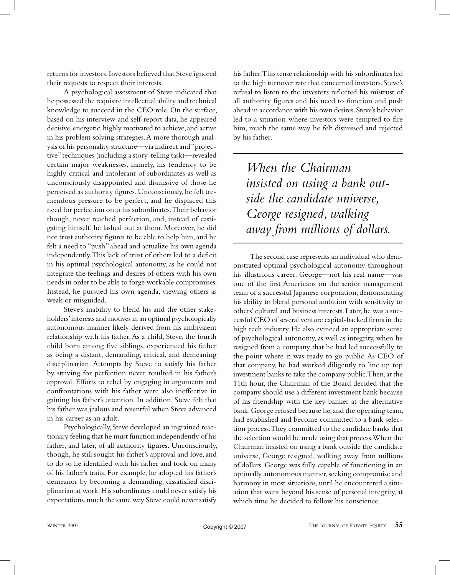returns for investors. Investors believed that Steve ignored their requests to respect their interests.

A psychological assessment of Steve indicated that he possessed the requisite intellectual ability and technical knowledge to succeed in the CEO role. On the surface, based on his interview and self-report data, he appeared decisive, energetic, highly motivated to achieve, and active in his problem solving strategies. A more thorough analysis of his personality structure—via indirect and "projective" techniques (including a story-telling task)—revealed certain major weaknesses, namely, his tendency to be highly critical and intolerant of subordinates as well as unconsciously disappointed and dismissive of those he perceived as authority figures. Unconsciously, he felt tremendous pressure to be perfect, and he displaced this need for perfection onto his subordinates. Their behavior though, never reached perfection, and, instead of castigating himself, he lashed out at them. Moreover, he did not trust authority figures to be able to help him, and he felt a need to "push" ahead and actualize his own agenda independently. This lack of trust of others led to a deficit in his optimal psychological autonomy, as he could not integrate the feelings and desires of others with his own needs in order to be able to forge workable compromises. Instead, he pursued his own agenda, viewing others as weak or misguided.

Steve's inability to blend his and the other stakeholders' interests and motives in an optimal psychologically autonomous manner likely derived from his ambivalent relationship with his father. As a child, Steve, the fourth child born among five siblings, experienced his father as being a distant, demanding, critical, and demeaning disciplinarian. Attempts by Steve to satisfy his father by striving for perfection never resulted in his father's approval. Efforts to rebel by engaging in arguments and confrontations with his father were also ineffective in gaining his father's attention. In addition, Steve felt that his father was jealous and resentful when Steve advanced in his career as an adult.

Psychologically, Steve developed an ingrained reactionary feeling that he must function independently of his father, and later, of all authority figures. Unconsciously, though, he still sought his father's approval and love, and to do so he identified with his father and took on many of his father's traits. For example, he adopted his father's demeanor by becoming a demanding, dissatisfied disciplinarian at work. His subordinates could never satisfy his expectations, much the same way Steve could never satisfy

his father. This tense relationship with his subordinates led to the high turnover rate that concerned investors. Steve's refusal to listen to the investors reflected his mistrust of all authority figures and his need to function and push ahead in accordance with his own desires. Steve's behavior led to a situation where investors were tempted to fire him, much the same way he felt dismissed and rejected by his father.

*When the Chairman insisted on using a bank outside the candidate universe, George resigned, walking away from millions of dollars.* 

The second case represents an individual who demonstrated optimal psychological autonomy throughout his illustrious career. George—not his real name—was one of the first Americans on the senior management team of a successful Japanese corporation, demonstrating his ability to blend personal ambition with sensitivity to others' cultural and business interests. Later, he was a successful CEO of several venture capital-backed firms in the high tech industry. He also evinced an appropriate sense of psychological autonomy, as well as integrity, when he resigned from a company that he had led successfully to the point where it was ready to go public. As CEO of that company, he had worked diligently to line up top investment banks to take the company public. Then, at the 11th hour, the Chairman of the Board decided that the company should use a different investment bank because of his friendship with the key banker at the alternative bank. George refused because he, and the operating team, had established and become committed to a bank selection process. They committed to the candidate banks that the selection would be made using that process. When the Chairman insisted on using a bank outside the candidate universe, George resigned, walking away from millions of dollars. George was fully capable of functioning in an optimally autonomous manner, seeking compromise and harmony in most situations, until he encountered a situation that went beyond his sense of personal integrity, at which time he decided to follow his conscience.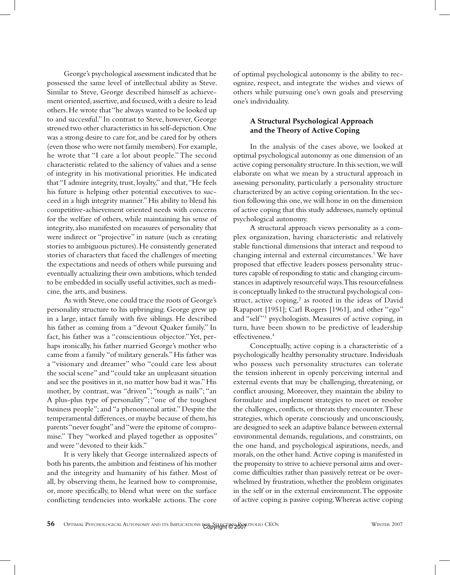George's psychological assessment indicated that he possessed the same level of intellectual ability as Steve. Similar to Steve, George described himself as achievement oriented, assertive, and focused, with a desire to lead others. He wrote that "he always wanted to be looked up to and successful." In contrast to Steve, however, George stressed two other characteristics in his self-depiction. One was a strong desire to care for, and be cared for by others (even those who were not family members). For example, he wrote that "I care a lot about people." The second characteristic related to the saliency of values and a sense of integrity in his motivational priorities. He indicated that "I admire integrity, trust, loyalty," and that, "He feels his future is helping other potential executives to succeed in a high integrity manner." His ability to blend his competitive-achievement oriented needs with concerns for the welfare of others, while maintaining his sense of integrity, also manifested on measures of personality that were indirect or "projective" in nature (such as creating stories to ambiguous pictures). He consistently generated stories of characters that faced the challenges of meeting the expectations and needs of others while pursuing and eventually actualizing their own ambitions, which tended to be embedded in socially useful activities, such as medicine, the arts, and business.

As with Steve, one could trace the roots of George's personality structure to his upbringing. George grew up in a large, intact family with five siblings. He described his father as coming from a "devout Quaker family." In fact, his father was a "conscientious objector." Yet, perhaps ironically, his father married George's mother who came from a family "of military generals." His father was a "visionary and dreamer" who "could care less about the social scene" and "could take an unpleasant situation and see the positives in it, no matter how bad it was." His mother, by contrast, was "driven"; "tough as nails"; "an A plus-plus type of personality"; "one of the toughest business people"; and "a phenomenal artist." Despite the temperamental differences, or maybe because of them, his parents "never fought" and "were the epitome of compromise." They "worked and played together as opposites" and were "devoted to their kids."

It is very likely that George internalized aspects of both his parents, the ambition and feistiness of his mother and the integrity and humanity of his father. Most of all, by observing them, he learned how to compromise, or, more specifically, to blend what were on the surface conflicting tendencies into workable actions. The core

of optimal psychological autonomy is the ability to recognize, respect, and integrate the wishes and views of others while pursuing one's own goals and preserving one's individuality.

### **A Structural Psychological Approach and the Theory of Active Coping**

In the analysis of the cases above, we looked at optimal psychological autonomy as one dimension of an active coping personality structure. In this section, we will elaborate on what we mean by a structural approach in assessing personality, particularly a personality structure characterized by an active coping orientation. In the section following this one, we will hone in on the dimension of active coping that this study addresses, namely optimal psychological autonomy.

A structural approach views personality as a complex organization, having characteristic and relatively stable functional dimensions that interact and respond to changing internal and external circumstances.<sup>1</sup> We have proposed that effective leaders possess personality structures capable of responding to static and changing circumstances in adaptively resourceful ways. This resourcefulness is conceptually linked to the structural psychological construct, active coping, $2$  as rooted in the ideas of David Rapaport [1951]; Carl Rogers [1961], and other "ego" and "self"3 psychologists. Measures of active coping, in turn, have been shown to be predictive of leadership effectiveness.4

Conceptually, active coping is a characteristic of a psychologically healthy personality structure. Individuals who possess such personality structures can tolerate the tension inherent in openly perceiving internal and external events that may be challenging, threatening, or conflict arousing. Moreover, they maintain the ability to formulate and implement strategies to meet or resolve the challenges, conflicts, or threats they encounter. These strategies, which operate consciously and unconsciously, are designed to seek an adaptive balance between external environmental demands, regulations, and constraints, on the one hand, and psychological aspirations, needs, and morals, on the other hand. Active coping is manifested in the propensity to strive to achieve personal aims and overcome difficulties rather than passively retreat or be overwhelmed by frustration, whether the problem originates in the self or in the external environment. The opposite of active coping is passive coping. Whereas active coping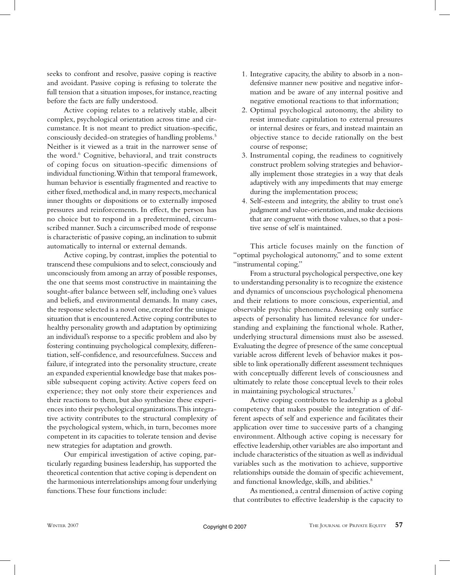seeks to confront and resolve, passive coping is reactive and avoidant. Passive coping is refusing to tolerate the full tension that a situation imposes, for instance, reacting before the facts are fully understood.

Active coping relates to a relatively stable, albeit complex, psychological orientation across time and circumstance. It is not meant to predict situation-specific, consciously decided-on strategies of handling problems.5 Neither is it viewed as a trait in the narrower sense of the word.<sup>6</sup> Cognitive, behavioral, and trait constructs of coping focus on situation-specific dimensions of individual functioning. Within that temporal framework, human behavior is essentially fragmented and reactive to either fixed, methodical and, in many respects, mechanical inner thoughts or dispositions or to externally imposed pressures and reinforcements. In effect, the person has no choice but to respond in a predetermined, circumscribed manner. Such a circumscribed mode of response is characteristic of passive coping, an inclination to submit automatically to internal or external demands.

Active coping, by contrast, implies the potential to transcend these compulsions and to select, consciously and unconsciously from among an array of possible responses, the one that seems most constructive in maintaining the sought-after balance between self, including one's values and beliefs, and environmental demands. In many cases, the response selected is a novel one, created for the unique situation that is encountered. Active coping contributes to healthy personality growth and adaptation by optimizing an individual's response to a specific problem and also by fostering continuing psychological complexity, differentiation, self-confidence, and resourcefulness. Success and failure, if integrated into the personality structure, create an expanded experiential knowledge base that makes possible subsequent coping activity. Active copers feed on experience; they not only store their experiences and their reactions to them, but also synthesize these experiences into their psychological organizations. This integrative activity contributes to the structural complexity of the psychological system, which, in turn, becomes more competent in its capacities to tolerate tension and devise new strategies for adaptation and growth.

Our empirical investigation of active coping, particularly regarding business leadership, has supported the theoretical contention that active coping is dependent on the harmonious interrelationships among four underlying functions. These four functions include:

- 1. Integrative capacity, the ability to absorb in a nondefensive manner new positive and negative information and be aware of any internal positive and negative emotional reactions to that information;
- 2. Optimal psychological autonomy, the ability to resist immediate capitulation to external pressures or internal desires or fears, and instead maintain an objective stance to decide rationally on the best course of response;
- 3. Instrumental coping, the readiness to cognitively construct problem solving strategies and behaviorally implement those strategies in a way that deals adaptively with any impediments that may emerge during the implementation process;
- 4. Self-esteem and integrity, the ability to trust one's judgment and value-orientation, and make decisions that are congruent with those values, so that a positive sense of self is maintained.

This article focuses mainly on the function of "optimal psychological autonomy," and to some extent "instrumental coping."

From a structural psychological perspective, one key to understanding personality is to recognize the existence and dynamics of unconscious psychological phenomena and their relations to more conscious, experiential, and observable psychic phenomena. Assessing only surface aspects of personality has limited relevance for understanding and explaining the functional whole. Rather, underlying structural dimensions must also be assessed. Evaluating the degree of presence of the same conceptual variable across different levels of behavior makes it possible to link operationally different assessment techniques with conceptually different levels of consciousness and ultimately to relate those conceptual levels to their roles in maintaining psychological structures.7

Active coping contributes to leadership as a global competency that makes possible the integration of different aspects of self and experience and facilitates their application over time to successive parts of a changing environment. Although active coping is necessary for effective leadership, other variables are also important and include characteristics of the situation as well as individual variables such as the motivation to achieve, supportive relationships outside the domain of specific achievement, and functional knowledge, skills, and abilities.<sup>8</sup>

As mentioned, a central dimension of active coping that contributes to effective leadership is the capacity to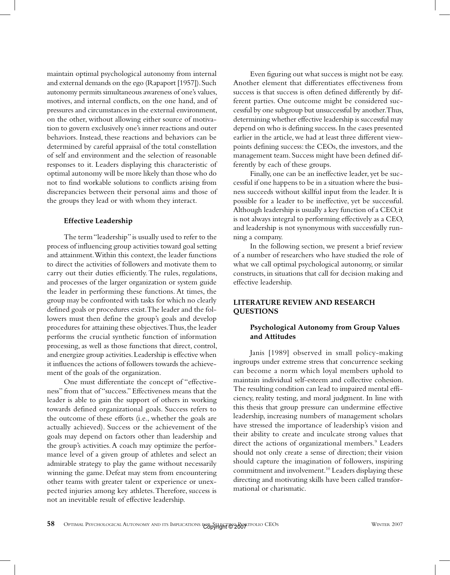maintain optimal psychological autonomy from internal and external demands on the ego (Rapaport [1957]). Such autonomy permits simultaneous awareness of one's values, motives, and internal conflicts, on the one hand, and of pressures and circumstances in the external environment, on the other, without allowing either source of motivation to govern exclusively one's inner reactions and outer behaviors. Instead, these reactions and behaviors can be determined by careful appraisal of the total constellation of self and environment and the selection of reasonable responses to it. Leaders displaying this characteristic of optimal autonomy will be more likely than those who do not to find workable solutions to conflicts arising from discrepancies between their personal aims and those of the groups they lead or with whom they interact.

#### **Effective Leadership**

The term "leadership" is usually used to refer to the process of influencing group activities toward goal setting and attainment. Within this context, the leader functions to direct the activities of followers and motivate them to carry out their duties efficiently. The rules, regulations, and processes of the larger organization or system guide the leader in performing these functions. At times, the group may be confronted with tasks for which no clearly defined goals or procedures exist. The leader and the followers must then define the group's goals and develop procedures for attaining these objectives. Thus, the leader performs the crucial synthetic function of information processing, as well as those functions that direct, control, and energize group activities. Leadership is effective when it influences the actions of followers towards the achievement of the goals of the organization.

One must differentiate the concept of "effectiveness" from that of "success." Effectiveness means that the leader is able to gain the support of others in working towards defined organizational goals. Success refers to the outcome of these efforts (i.e., whether the goals are actually achieved). Success or the achievement of the goals may depend on factors other than leadership and the group's activities. A coach may optimize the performance level of a given group of athletes and select an admirable strategy to play the game without necessarily winning the game. Defeat may stem from encountering other teams with greater talent or experience or unexpected injuries among key athletes. Therefore, success is not an inevitable result of effective leadership.

Even figuring out what success is might not be easy. Another element that differentiates effectiveness from success is that success is often defined differently by different parties. One outcome might be considered successful by one subgroup but unsuccessful by another. Thus, determining whether effective leadership is successful may depend on who is defining success. In the cases presented earlier in the article, we had at least three different viewpoints defining success: the CEOs, the investors, and the management team. Success might have been defined differently by each of these groups.

Finally, one can be an ineffective leader, yet be successful if one happens to be in a situation where the business succeeds without skillful input from the leader. It is possible for a leader to be ineffective, yet be successful. Although leadership is usually a key function of a CEO, it is not always integral to performing effectively as a CEO, and leadership is not synonymous with successfully running a company.

In the following section, we present a brief review of a number of researchers who have studied the role of what we call optimal psychological autonomy, or similar constructs, in situations that call for decision making and effective leadership.

## **Literature Review and Research Questions**

#### **Psychological Autonomy from Group Values and Attitudes**

Janis [1989] observed in small policy-making ingroups under extreme stress that concurrence seeking can become a norm which loyal members uphold to maintain individual self-esteem and collective cohesion. The resulting condition can lead to impaired mental efficiency, reality testing, and moral judgment. In line with this thesis that group pressure can undermine effective leadership, increasing numbers of management scholars have stressed the importance of leadership's vision and their ability to create and inculcate strong values that direct the actions of organizational members.<sup>9</sup> Leaders should not only create a sense of direction; their vision should capture the imagination of followers, inspiring commitment and involvement.10 Leaders displaying these directing and motivating skills have been called transformational or charismatic.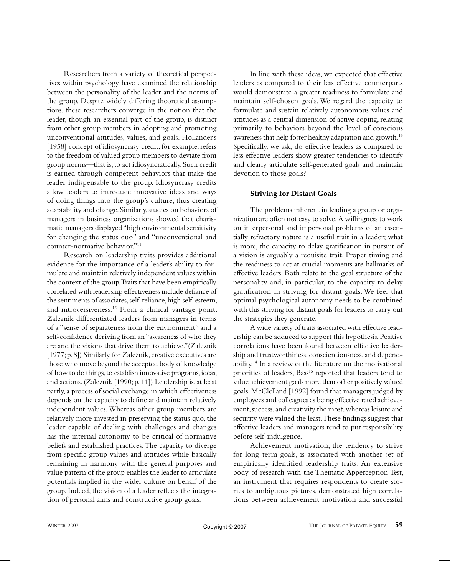Researchers from a variety of theoretical perspectives within psychology have examined the relationship between the personality of the leader and the norms of the group. Despite widely differing theoretical assumptions, these researchers converge in the notion that the leader, though an essential part of the group, is distinct from other group members in adopting and promoting unconventional attitudes, values, and goals. Hollander's [1958] concept of idiosyncrasy credit, for example, refers to the freedom of valued group members to deviate from group norms—that is, to act idiosyncratically. Such credit is earned through competent behaviors that make the leader indispensable to the group. Idiosyncrasy credits allow leaders to introduce innovative ideas and ways of doing things into the group's culture, thus creating adaptability and change. Similarly, studies on behaviors of managers in business organizations showed that charismatic managers displayed "high environmental sensitivity for changing the status quo" and "unconventional and counter-normative behavior."11

Research on leadership traits provides additional evidence for the importance of a leader's ability to formulate and maintain relatively independent values within the context of the group. Traits that have been empirically correlated with leadership effectiveness include defiance of the sentiments of associates, self-reliance, high self-esteem, and introversiveness.12 From a clinical vantage point, Zaleznik differentiated leaders from managers in terms of a "sense of separateness from the environment" and a self-confidence deriving from an "awareness of who they are and the visions that drive them to achieve."(Zaleznik [1977; p. 8]) Similarly, for Zaleznik, creative executives are those who move beyond the accepted body of knowledge of how to do things, to establish innovative programs, ideas, and actions. (Zaleznik [1990; p. 11]) Leadership is, at least partly, a process of social exchange in which effectiveness depends on the capacity to define and maintain relatively independent values. Whereas other group members are relatively more invested in preserving the status quo, the leader capable of dealing with challenges and changes has the internal autonomy to be critical of normative beliefs and established practices. The capacity to diverge from specific group values and attitudes while basically remaining in harmony with the general purposes and value pattern of the group enables the leader to articulate potentials implied in the wider culture on behalf of the group. Indeed, the vision of a leader reflects the integration of personal aims and constructive group goals.

In line with these ideas, we expected that effective leaders as compared to their less effective counterparts would demonstrate a greater readiness to formulate and maintain self-chosen goals. We regard the capacity to formulate and sustain relatively autonomous values and attitudes as a central dimension of active coping, relating primarily to behaviors beyond the level of conscious awareness that help foster healthy adaptation and growth.<sup>13</sup> Specifically, we ask, do effective leaders as compared to less effective leaders show greater tendencies to identify and clearly articulate self-generated goals and maintain devotion to those goals?

#### **Striving for Distant Goals**

The problems inherent in leading a group or organization are often not easy to solve. A willingness to work on interpersonal and impersonal problems of an essentially refractory nature is a useful trait in a leader; what is more, the capacity to delay gratification in pursuit of a vision is arguably a requisite trait. Proper timing and the readiness to act at crucial moments are hallmarks of effective leaders. Both relate to the goal structure of the personality and, in particular, to the capacity to delay gratification in striving for distant goals. We feel that optimal psychological autonomy needs to be combined with this striving for distant goals for leaders to carry out the strategies they generate.

A wide variety of traits associated with effective leadership can be adduced to support this hypothesis. Positive correlations have been found between effective leadership and trustworthiness, conscientiousness, and dependability.14 In a review of the literature on the motivational priorities of leaders, Bass<sup>15</sup> reported that leaders tend to value achievement goals more than other positively valued goals. McClelland [1992] found that managers judged by employees and colleagues as being effective rated achievement, success, and creativity the most, whereas leisure and security were valued the least. These findings suggest that effective leaders and managers tend to put responsibility before self-indulgence.

Achievement motivation, the tendency to strive for long-term goals, is associated with another set of empirically identified leadership traits. An extensive body of research with the Thematic Apperception Test, an instrument that requires respondents to create stories to ambiguous pictures, demonstrated high correlations between achievement motivation and successful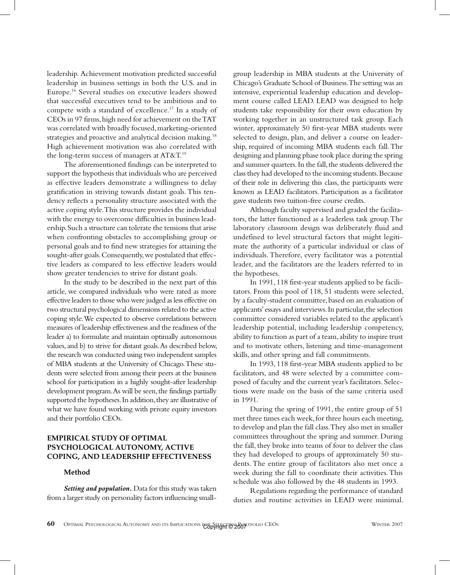leadership. Achievement motivation predicted successful leadership in business settings in both the U.S. and in Europe.16 Several studies on executive leaders showed that successful executives tend to be ambitious and to compete with a standard of excellence.17 In a study of CEOs in 97 firms, high need for achievement on the TAT was correlated with broadly focused, marketing-oriented strategies and proactive and analytical decision making.<sup>18</sup> High achievement motivation was also correlated with the long-term success of managers at  $AT\&T.^{19}$ 

The aforementioned findings can be interpreted to support the hypothesis that individuals who are perceived as effective leaders demonstrate a willingness to delay gratification in striving towards distant goals. This tendency reflects a personality structure associated with the active coping style. This structure provides the individual with the energy to overcome difficulties in business leadership. Such a structure can tolerate the tensions that arise when confronting obstacles to accomplishing group or personal goals and to find new strategies for attaining the sought-after goals. Consequently, we postulated that effective leaders as compared to less effective leaders would show greater tendencies to strive for distant goals.

In the study to be described in the next part of this article, we compared individuals who were rated as more effective leaders to those who were judged as less effective on two structural psychological dimensions related to the active coping style. We expected to observe correlations between measures of leadership effectiveness and the readiness of the leader a) to formulate and maintain optimally autonomous values, and b) to strive for distant goals. As described below, the research was conducted using two independent samples of MBA students at the University of Chicago. These students were selected from among their peers at the business school for participation in a highly sought-after leadership development program. As will be seen, the findings partially supported the hypotheses. In addition, they are illustrative of what we have found working with private equity investors and their portfolio CEOs.

#### **Empirical Study of Optimal Psychological Autonomy, Active Coping, and Leadership Effectiveness**

#### **Method**

*Setting and population***.** Data for this study was taken from a larger study on personality factors influencing smallgroup leadership in MBA students at the University of Chicago's Graduate School of Business. The setting was an intensive, experiential leadership education and development course called LEAD. LEAD was designed to help students take responsibility for their own education by working together in an unstructured task group. Each winter, approximately 50 first-year MBA students were selected to design, plan, and deliver a course on leadership, required of incoming MBA students each fall. The designing and planning phase took place during the spring and summer quarters. In the fall, the students delivered the class they had developed to the incoming students. Because of their role in delivering this class, the participants were known as LEAD facilitators. Participation as a facilitator gave students two tuition-free course credits.

Although faculty supervised and graded the facilitators, the latter functioned as a leaderless task group. The laboratory classroom design was deliberately fluid and undefined to level structural factors that might legitimate the authority of a particular individual or class of individuals. Therefore, every facilitator was a potential leader, and the facilitators are the leaders referred to in the hypotheses.

In 1991, 118 first-year students applied to be facilitators. From this pool of 118, 51 students were selected, by a faculty-student committee, based on an evaluation of applicants' essays and interviews. In particular, the selection committee considered variables related to the applicant's leadership potential, including leadership competency, ability to function as part of a team, ability to inspire trust and to motivate others, listening and time-management skills, and other spring and fall commitments.

In 1993, 118 first-year MBA students applied to be facilitators, and 48 were selected by a committee composed of faculty and the current year's facilitators. Selections were made on the basis of the same criteria used in 1991.

During the spring of 1991, the entire group of 51 met three times each week, for three hours each meeting, to develop and plan the fall class. They also met in smaller committees throughout the spring and summer. During the fall, they broke into teams of four to deliver the class they had developed to groups of approximately 50 students. The entire group of facilitators also met once a week during the fall to coordinate their activities. This schedule was also followed by the 48 students in 1993.

Regulations regarding the performance of standard duties and routine activities in LEAD were minimal.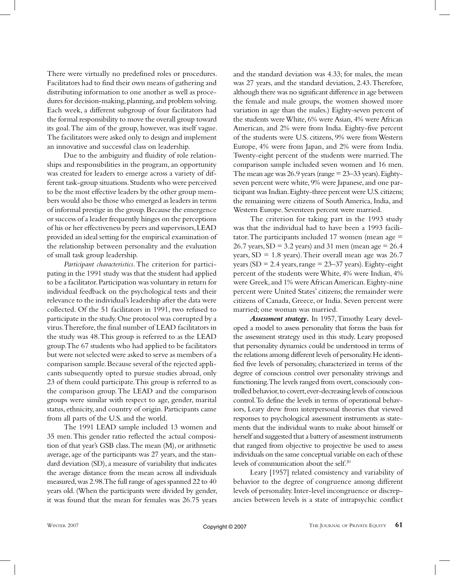There were virtually no predefined roles or procedures. Facilitators had to find their own means of gathering and distributing information to one another as well as procedures for decision-making, planning, and problem solving. Each week, a different subgroup of four facilitators had the formal responsibility to move the overall group toward its goal. The aim of the group, however, was itself vague. The facilitators were asked only to design and implement an innovative and successful class on leadership.

Due to the ambiguity and fluidity of role relationships and responsibilities in the program, an opportunity was created for leaders to emerge across a variety of different task-group situations. Students who were perceived to be the most effective leaders by the other group members would also be those who emerged as leaders in terms of informal prestige in the group. Because the emergence or success of a leader frequently hinges on the perceptions of his or her effectiveness by peers and supervisors, LEAD provided an ideal setting for the empirical examination of the relationship between personality and the evaluation of small task group leadership.

*Participant characteristics*. The criterion for participating in the 1991 study was that the student had applied to be a facilitator. Participation was voluntary in return for individual feedback on the psychological tests and their relevance to the individual's leadership after the data were collected. Of the 51 facilitators in 1991, two refused to participate in the study. One protocol was corrupted by a virus. Therefore, the final number of LEAD facilitators in the study was 48. This group is referred to as the LEAD group. The 67 students who had applied to be facilitators but were not selected were asked to serve as members of a comparison sample. Because several of the rejected applicants subsequently opted to pursue studies abroad, only 23 of them could participate. This group is referred to as the comparison group. The LEAD and the comparison groups were similar with respect to age, gender, marital status, ethnicity, and country of origin. Participants came from all parts of the U.S. and the world.

The 1991 LEAD sample included 13 women and 35 men. This gender ratio reflected the actual composition of that year's GSB class. The mean (M), or arithmetic average, age of the participants was 27 years, and the standard deviation (SD), a measure of variability that indicates the average distance from the mean across all individuals measured, was 2.98. The full range of ages spanned 22 to 40 years old. (When the participants were divided by gender, it was found that the mean for females was 26.75 years

and the standard deviation was 4.33; for males, the mean was 27 years, and the standard deviation, 2.43. Therefore, although there was no significant difference in age between the female and male groups, the women showed more variation in age than the males.) Eighty-seven percent of the students were White, 6% were Asian, 4% were African American, and 2% were from India. Eighty-five percent of the students were U.S. citizens, 9% were from Western Europe, 4% were from Japan, and 2% were from India. Twenty-eight percent of the students were married. The comparison sample included seven women and 16 men. The mean age was  $26.9$  years (range  $= 23 - 33$  years). Eightyseven percent were white, 9% were Japanese, and one participant was Indian. Eighty-three percent were U.S. citizens; the remaining were citizens of South America, India, and Western Europe. Seventeen percent were married.

The criterion for taking part in the 1993 study was that the individual had to have been a 1993 facilitator. The participants included 17 women (mean age  $=$ 26.7 years,  $SD = 3.2$  years) and 31 men (mean age = 26.4 years,  $SD = 1.8$  years). Their overall mean age was 26.7 years (SD = 2.4 years, range =  $23-37$  years). Eighty-eight percent of the students were White, 4% were Indian, 4% were Greek, and 1% were African American. Eighty-nine percent were United States' citizens; the remainder were citizens of Canada, Greece, or India. Seven percent were married; one woman was married.

*Assessment strategy***.** In 1957, Timothy Leary developed a model to assess personality that forms the basis for the assessment strategy used in this study. Leary proposed that personality dynamics could be understood in terms of the relations among different levels of personality. He identified five levels of personality, characterized in terms of the degree of conscious control over personality strivings and functioning. The levels ranged from overt, consciously controlled behavior, to covert, ever-decreasing levels of conscious control. To define the levels in terms of operational behaviors, Leary drew from interpersonal theories that viewed responses to psychological assessment instruments as statements that the individual wants to make about himself or herself and suggested that a battery of assessment instruments that ranged from objective to projective be used to assess individuals on the same conceptual variable on each of these levels of communication about the self.20

Leary [1957] related consistency and variability of behavior to the degree of congruence among different levels of personality. Inter-level incongruence or discrepancies between levels is a state of intrapsychic conflict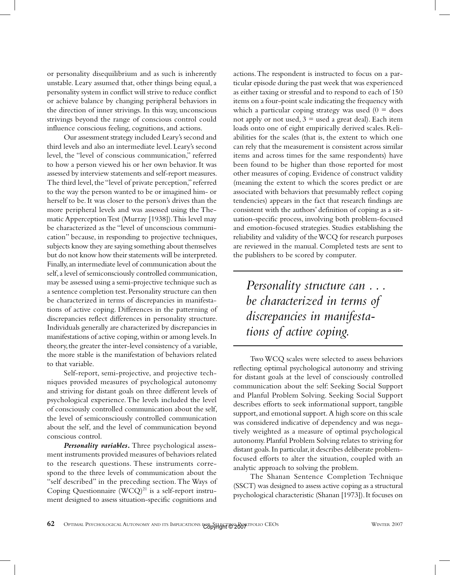or personality disequilibrium and as such is inherently unstable. Leary assumed that, other things being equal, a personality system in conflict will strive to reduce conflict or achieve balance by changing peripheral behaviors in the direction of inner strivings. In this way, unconscious strivings beyond the range of conscious control could influence conscious feeling, cognitions, and actions.

Our assessment strategy included Leary's second and third levels and also an intermediate level. Leary's second level, the "level of conscious communication," referred to how a person viewed his or her own behavior. It was assessed by interview statements and self-report measures. The third level, the "level of private perception," referred to the way the person wanted to be or imagined him- or herself to be. It was closer to the person's drives than the more peripheral levels and was assessed using the Thematic Apperception Test (Murray [1938]). This level may be characterized as the "level of unconscious communication" because, in responding to projective techniques, subjects know they are saying something about themselves but do not know how their statements will be interpreted. Finally, an intermediate level of communication about the self, a level of semiconsciously controlled communication, may be assessed using a semi-projective technique such as a sentence completion test. Personality structure can then be characterized in terms of discrepancies in manifestations of active coping. Differences in the patterning of discrepancies reflect differences in personality structure. Individuals generally are characterized by discrepancies in manifestations of active coping, within or among levels. In theory, the greater the inter-level consistency of a variable, the more stable is the manifestation of behaviors related to that variable.

Self-report, semi-projective, and projective techniques provided measures of psychological autonomy and striving for distant goals on three different levels of psychological experience. The levels included the level of consciously controlled communication about the self, the level of semiconsciously controlled communication about the self, and the level of communication beyond conscious control.

*Personality variables***.** Three psychological assessment instruments provided measures of behaviors related to the research questions. These instruments correspond to the three levels of communication about the "self described" in the preceding section. The Ways of Coping Questionnaire  $(WCQ)^{21}$  is a self-report instrument designed to assess situation-specific cognitions and

actions. The respondent is instructed to focus on a particular episode during the past week that was experienced as either taxing or stressful and to respond to each of 150 items on a four-point scale indicating the frequency with which a particular coping strategy was used  $(0 =$  does not apply or not used,  $3 =$  used a great deal). Each item loads onto one of eight empirically derived scales. Reliabilities for the scales (that is, the extent to which one can rely that the measurement is consistent across similar items and across times for the same respondents) have been found to be higher than those reported for most other measures of coping. Evidence of construct validity (meaning the extent to which the scores predict or are associated with behaviors that presumably reflect coping tendencies) appears in the fact that research findings are consistent with the authors' definition of coping as a situation-specific process, involving both problem-focused and emotion-focused strategies. Studies establishing the reliability and validity of the WCQ for research purposes are reviewed in the manual. Completed tests are sent to the publishers to be scored by computer.

*Personality structure can . . . be characterized in terms of discrepancies in manifestations of active coping.* 

Two WCQ scales were selected to assess behaviors reflecting optimal psychological autonomy and striving for distant goals at the level of consciously controlled communication about the self: Seeking Social Support and Planful Problem Solving. Seeking Social Support describes efforts to seek informational support, tangible support, and emotional support. A high score on this scale was considered indicative of dependency and was negatively weighted as a measure of optimal psychological autonomy. Planful Problem Solving relates to striving for distant goals. In particular, it describes deliberate problemfocused efforts to alter the situation, coupled with an analytic approach to solving the problem.

The Shanan Sentence Completion Technique (SSCT) was designed to assess active coping as a structural psychological characteristic (Shanan [1973]). It focuses on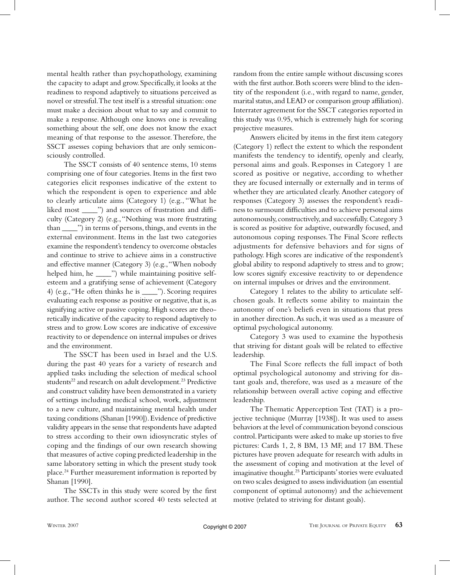mental health rather than psychopathology, examining the capacity to adapt and grow. Specifically, it looks at the readiness to respond adaptively to situations perceived as novel or stressful. The test itself is a stressful situation: one must make a decision about what to say and commit to make a response. Although one knows one is revealing something about the self, one does not know the exact meaning of that response to the assessor. Therefore, the SSCT assesses coping behaviors that are only semiconsciously controlled.

The SSCT consists of 40 sentence stems, 10 stems comprising one of four categories. Items in the first two categories elicit responses indicative of the extent to which the respondent is open to experience and able to clearly articulate aims (Category 1) (e.g., "What he liked most \_\_\_\_") and sources of frustration and difficulty (Category 2) (e.g., "Nothing was more frustrating than \_\_\_\_") in terms of persons, things, and events in the external environment. Items in the last two categories examine the respondent's tendency to overcome obstacles and continue to strive to achieve aims in a constructive and effective manner (Category 3) (e.g., "When nobody helped him, he \_\_\_\_") while maintaining positive selfesteem and a gratifying sense of achievement (Category 4) (e.g., "He often thinks he is \_\_\_\_"). Scoring requires evaluating each response as positive or negative, that is, as signifying active or passive coping. High scores are theoretically indicative of the capacity to respond adaptively to stress and to grow. Low scores are indicative of excessive reactivity to or dependence on internal impulses or drives and the environment.

The SSCT has been used in Israel and the U.S. during the past 40 years for a variety of research and applied tasks including the selection of medical school students<sup>22</sup> and research on adult development.<sup>23</sup> Predictive and construct validity have been demonstrated in a variety of settings including medical school, work, adjustment to a new culture, and maintaining mental health under taxing conditions (Shanan [1990]). Evidence of predictive validity appears in the sense that respondents have adapted to stress according to their own idiosyncratic styles of coping and the findings of our own research showing that measures of active coping predicted leadership in the same laboratory setting in which the present study took place.24 Further measurement information is reported by Shanan [1990].

The SSCTs in this study were scored by the first author. The second author scored 40 tests selected at random from the entire sample without discussing scores with the first author. Both scorers were blind to the identity of the respondent (i.e., with regard to name, gender, marital status, and LEAD or comparison group affiliation). Interrater agreement for the SSCT categories reported in this study was 0.95, which is extremely high for scoring projective measures.

Answers elicited by items in the first item category (Category 1) reflect the extent to which the respondent manifests the tendency to identify, openly and clearly, personal aims and goals. Responses in Category 1 are scored as positive or negative, according to whether they are focused internally or externally and in terms of whether they are articulated clearly. Another category of responses (Category 3) assesses the respondent's readiness to surmount difficulties and to achieve personal aims autonomously, constructively, and successfully. Category 3 is scored as positive for adaptive, outwardly focused, and autonomous coping responses. The Final Score reflects adjustments for defensive behaviors and for signs of pathology. High scores are indicative of the respondent's global ability to respond adaptively to stress and to grow; low scores signify excessive reactivity to or dependence on internal impulses or drives and the environment.

Category 1 relates to the ability to articulate selfchosen goals. It reflects some ability to maintain the autonomy of one's beliefs even in situations that press in another direction. As such, it was used as a measure of optimal psychological autonomy.

Category 3 was used to examine the hypothesis that striving for distant goals will be related to effective leadership.

The Final Score reflects the full impact of both optimal psychological autonomy and striving for distant goals and, therefore, was used as a measure of the relationship between overall active coping and effective leadership.

The Thematic Apperception Test (TAT) is a projective technique (Murray [1938]). It was used to assess behaviors at the level of communication beyond conscious control. Participants were asked to make up stories to five pictures: Cards 1, 2, 8 BM, 13 MF, and 17 BM. These pictures have proven adequate for research with adults in the assessment of coping and motivation at the level of imaginative thought.25 Participants' stories were evaluated on two scales designed to assess individuation (an essential component of optimal autonomy) and the achievement motive (related to striving for distant goals).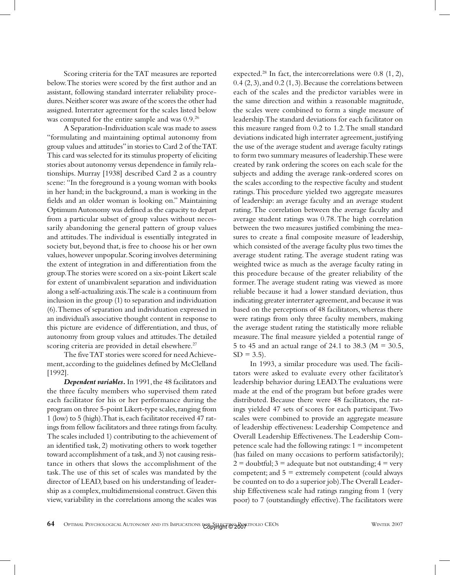director of LEAD, based on his understanding of leadership as a complex, multidimensional construct. Given this view, variability in the correlations among the scales was

The five TAT stories were scored for need Achievement, according to the guidelines defined by McClelland

*Dependent variables***.** In 1991, the 48 facilitators and the three faculty members who supervised them rated each facilitator for his or her performance during the program on three 5-point Likert-type scales, ranging from 1 (low) to 5 (high). That is, each facilitator received 47 ratings from fellow facilitators and three ratings from faculty. The scales included 1) contributing to the achievement of an identified task, 2) motivating others to work together toward accomplishment of a task, and 3) not causing resistance in others that slows the accomplishment of the task. The use of this set of scales was mandated by the

[1992].

Scoring criteria for the TAT measures are reported below. The stories were scored by the first author and an assistant, following standard interrater reliability procedures. Neither scorer was aware of the scores the other had assigned. Interrater agreement for the scales listed below was computed for the entire sample and was 0.9.26

A Separation-Individuation scale was made to assess "formulating and maintaining optimal autonomy from group values and attitudes" in stories to Card 2 of the TAT. This card was selected for its stimulus property of eliciting stories about autonomy versus dependence in family relationships. Murray [1938] described Card 2 as a country scene: "In the foreground is a young woman with books in her hand; in the background, a man is working in the fields and an older woman is looking on." Maintaining Optimum Autonomy was defined as the capacity to depart from a particular subset of group values without necessarily abandoning the general pattern of group values and attitudes. The individual is essentially integrated in society but, beyond that, is free to choose his or her own values, however unpopular. Scoring involves determining the extent of integration in and differentiation from the group. The stories were scored on a six-point Likert scale for extent of unambivalent separation and individuation along a self-actualizing axis. The scale is a continuum from inclusion in the group (1) to separation and individuation (6). Themes of separation and individuation expressed in an individual's associative thought content in response to this picture are evidence of differentiation, and thus, of autonomy from group values and attitudes. The detailed scoring criteria are provided in detail elsewhere.<sup>27</sup>

expected.<sup>28</sup> In fact, the intercorrelations were  $0.8$  (1, 2), 0.4 (2, 3), and 0.2 (1, 3). Because the correlations between each of the scales and the predictor variables were in the same direction and within a reasonable magnitude, the scales were combined to form a single measure of leadership. The standard deviations for each facilitator on this measure ranged from 0.2 to 1.2. The small standard deviations indicated high interrater agreement, justifying the use of the average student and average faculty ratings to form two summary measures of leadership. These were created by rank ordering the scores on each scale for the subjects and adding the average rank-ordered scores on the scales according to the respective faculty and student ratings. This procedure yielded two aggregate measures of leadership: an average faculty and an average student rating. The correlation between the average faculty and average student ratings was 0.78. The high correlation between the two measures justified combining the measures to create a final composite measure of leadership, which consisted of the average faculty plus two times the average student rating. The average student rating was weighted twice as much as the average faculty rating in this procedure because of the greater reliability of the former. The average student rating was viewed as more reliable because it had a lower standard deviation, thus indicating greater interrater agreement, and because it was based on the perceptions of 48 facilitators, whereas there were ratings from only three faculty members, making the average student rating the statistically more reliable measure. The final measure yielded a potential range of 5 to 45 and an actual range of 24.1 to 38.3 (M = 30.5,  $SD = 3.5$ ).

In 1993, a similar procedure was used. The facilitators were asked to evaluate every other facilitator's leadership behavior during LEAD. The evaluations were made at the end of the program but before grades were distributed. Because there were 48 facilitators, the ratings yielded 47 sets of scores for each participant. Two scales were combined to provide an aggregate measure of leadership effectiveness: Leadership Competence and Overall Leadership Effectiveness. The Leadership Competence scale had the following ratings:  $1 =$  incompetent (has failed on many occasions to perform satisfactorily);  $2 =$  doubtful;  $3 =$  adequate but not outstanding;  $4 =$  very competent; and  $5 =$  extremely competent (could always be counted on to do a superior job). The Overall Leadership Effectiveness scale had ratings ranging from 1 (very poor) to 7 (outstandingly effective). The facilitators were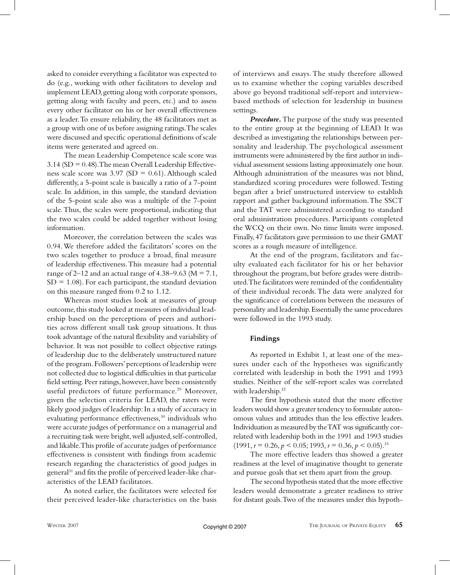asked to consider everything a facilitator was expected to do (e.g., working with other facilitators to develop and implement LEAD, getting along with corporate sponsors, getting along with faculty and peers, etc.) and to assess every other facilitator on his or her overall effectiveness as a leader. To ensure reliability, the 48 facilitators met as a group with one of us before assigning ratings. The scales were discussed and specific operational definitions of scale items were generated and agreed on.

The mean Leadership Competence scale score was  $3.14$  (SD = 0.48). The mean Overall Leadership Effectiveness scale score was 3.97 (SD = 0.61). Although scaled differently, a 5-point scale is basically a ratio of a 7-point scale. In addition, in this sample, the standard deviation of the 5-point scale also was a multiple of the 7-point scale. Thus, the scales were proportional, indicating that the two scales could be added together without losing information.

Moreover, the correlation between the scales was 0.94. We therefore added the facilitators' scores on the two scales together to produce a broad, final measure of leadership effectiveness. This measure had a potential range of  $2-12$  and an actual range of 4.38–9.63 (M = 7.1,  $SD = 1.08$ ). For each participant, the standard deviation on this measure ranged from 0.2 to 1.12.

Whereas most studies look at measures of group outcome, this study looked at measures of individual leadership based on the perceptions of peers and authorities across different small task group situations. It thus took advantage of the natural flexibility and variability of behavior. It was not possible to collect objective ratings of leadership due to the deliberately unstructured nature of the program. Followers' perceptions of leadership were not collected due to logistical difficulties in that particular field setting. Peer ratings, however, have been consistently useful predictors of future performance.<sup>29</sup> Moreover, given the selection criteria for LEAD, the raters were likely good judges of leadership: In a study of accuracy in evaluating performance effectiveness,<sup>30</sup> individuals who were accurate judges of performance on a managerial and a recruiting task were bright, well adjusted, self-controlled, and likable. This profile of accurate judges of performance effectiveness is consistent with findings from academic research regarding the characteristics of good judges in general<sup>31</sup> and fits the profile of perceived leader-like characteristics of the LEAD facilitators.

As noted earlier, the facilitators were selected for their perceived leader-like characteristics on the basis of interviews and essays. The study therefore allowed us to examine whether the coping variables described above go beyond traditional self-report and interviewbased methods of selection for leadership in business settings.

*Procedure***.** The purpose of the study was presented to the entire group at the beginning of LEAD. It was described as investigating the relationships between personality and leadership. The psychological assessment instruments were administered by the first author in individual assessment sessions lasting approximately one hour. Although administration of the measures was not blind, standardized scoring procedures were followed. Testing began after a brief unstructured interview to establish rapport and gather background information. The SSCT and the TAT were administered according to standard oral administration procedures. Participants completed the WCQ on their own. No time limits were imposed. Finally, 47 facilitators gave permission to use their GMAT scores as a rough measure of intelligence.

At the end of the program, facilitators and faculty evaluated each facilitator for his or her behavior throughout the program, but before grades were distributed. The facilitators were reminded of the confidentiality of their individual records. The data were analyzed for the significance of correlations between the measures of personality and leadership. Essentially the same procedures were followed in the 1993 study.

#### **Findings**

As reported in Exhibit 1, at least one of the measures under each of the hypotheses was significantly correlated with leadership in both the 1991 and 1993 studies. Neither of the self-report scales was correlated with leadership.<sup>32</sup>

The first hypothesis stated that the more effective leaders would show a greater tendency to formulate autonomous values and attitudes than the less effective leaders. Individuation as measured by the TAT was significantly correlated with leadership both in the 1991 and 1993 studies  $(1991, r = 0.26, p < 0.05; 1993, r = 0.36, p < 0.05)$ <sup>33</sup>

The more effective leaders thus showed a greater readiness at the level of imaginative thought to generate and pursue goals that set them apart from the group.

The second hypothesis stated that the more effective leaders would demonstrate a greater readiness to strive for distant goals. Two of the measures under this hypoth-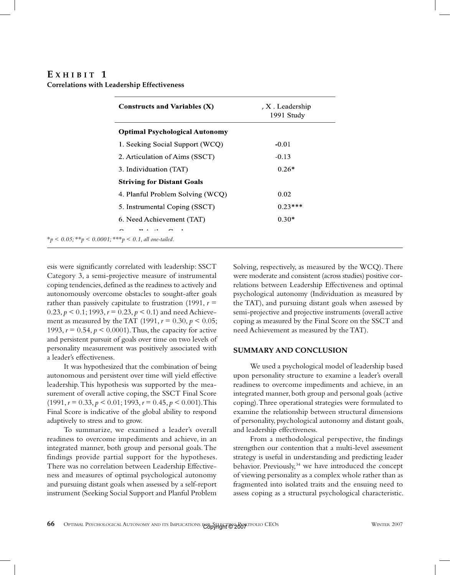## **E**  $x$  **H I B** I **T** 1 **Correlations with Leadership Effectiveness**

| Constructs and Variables $(X)$        | $\,$ , X. Leadership<br>1991 Study |
|---------------------------------------|------------------------------------|
| <b>Optimal Psychological Autonomy</b> |                                    |
| 1. Seeking Social Support (WCO)       | $-0.01$                            |
| 2. Articulation of Aims (SSCT)        | $-0.13$                            |
| 3. Individuation (TAT)                | $0.26*$                            |
| <b>Striving for Distant Goals</b>     |                                    |
| 4. Planful Problem Solving (WCQ)      | 0.02                               |
| 5. Instrumental Coping (SSCT)         | $0.23***$                          |
| 6. Need Achievement (TAT)             | $0.30*$                            |
|                                       |                                    |

esis were significantly correlated with leadership: SSCT Category 3, a semi-projective measure of instrumental coping tendencies, defined as the readiness to actively and autonomously overcome obstacles to sought-after goals rather than passively capitulate to frustration (1991,  $r =$  $0.23, p \le 0.1$ ; 1993,  $r = 0.23, p \le 0.1$ ) and need Achievement as measured by the TAT (1991,  $r = 0.30$ ,  $p < 0.05$ ; 1993,  $r = 0.54$ ,  $p < 0.0001$ ). Thus, the capacity for active and persistent pursuit of goals over time on two levels of personality measurement was positively associated with a leader's effectiveness.

 $*_{p} < 0.05; **_{p} < 0.$ 

It was hypothesized that the combination of being autonomous and persistent over time will yield effective leadership. This hypothesis was supported by the measurement of overall active coping, the SSCT Final Score  $(1991, r = 0.33, p < 0.01; 1993, r = 0.45, p < 0.001)$ . This Final Score is indicative of the global ability to respond adaptively to stress and to grow.

To summarize, we examined a leader's overall readiness to overcome impediments and achieve, in an integrated manner, both group and personal goals. The findings provide partial support for the hypotheses. There was no correlation between Leadership Effectiveness and measures of optimal psychological autonomy and pursuing distant goals when assessed by a self-report instrument (Seeking Social Support and Planful Problem

Solving, respectively, as measured by the WCQ). There were moderate and consistent (across studies) positive correlations between Leadership Effectiveness and optimal psychological autonomy (Individuation as measured by the TAT), and pursuing distant goals when assessed by semi-projective and projective instruments (overall active coping as measured by the Final Score on the SSCT and need Achievement as measured by the TAT).

#### **Summary and Conclusion**

We used a psychological model of leadership based upon personality structure to examine a leader's overall readiness to overcome impediments and achieve, in an integrated manner, both group and personal goals (active coping). Three operational strategies were formulated to examine the relationship between structural dimensions of personality, psychological autonomy and distant goals, and leadership effectiveness.

From a methodological perspective, the findings strengthen our contention that a multi-level assessment strategy is useful in understanding and predicting leader behavior. Previously,<sup>34</sup> we have introduced the concept of viewing personality as a complex whole rather than as fragmented into isolated traits and the ensuing need to assess coping as a structural psychological characteristic.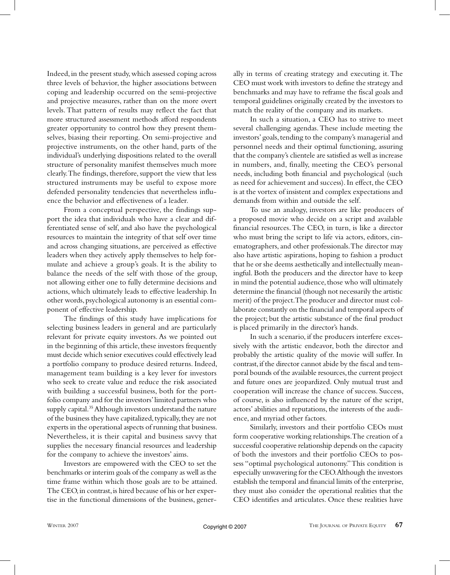Indeed, in the present study, which assessed coping across three levels of behavior, the higher associations between coping and leadership occurred on the semi-projective and projective measures, rather than on the more overt levels. That pattern of results may reflect the fact that more structured assessment methods afford respondents greater opportunity to control how they present themselves, biasing their reporting. On semi-projective and projective instruments, on the other hand, parts of the individual's underlying dispositions related to the overall structure of personality manifest themselves much more clearly. The findings, therefore, support the view that less structured instruments may be useful to expose more defended personality tendencies that nevertheless influence the behavior and effectiveness of a leader.

From a conceptual perspective, the findings support the idea that individuals who have a clear and differentiated sense of self, and also have the psychological resources to maintain the integrity of that self over time and across changing situations, are perceived as effective leaders when they actively apply themselves to help formulate and achieve a group's goals. It is the ability to balance the needs of the self with those of the group, not allowing either one to fully determine decisions and actions, which ultimately leads to effective leadership. In other words, psychological autonomy is an essential component of effective leadership.

The findings of this study have implications for selecting business leaders in general and are particularly relevant for private equity investors. As we pointed out in the beginning of this article, these investors frequently must decide which senior executives could effectively lead a portfolio company to produce desired returns. Indeed, management team building is a key lever for investors who seek to create value and reduce the risk associated with building a successful business, both for the portfolio company and for the investors' limited partners who supply capital.<sup>35</sup> Although investors understand the nature of the business they have capitalized, typically, they are not experts in the operational aspects of running that business. Nevertheless, it is their capital and business savvy that supplies the necessary financial resources and leadership for the company to achieve the investors' aims.

Investors are empowered with the CEO to set the benchmarks or interim goals of the company as well as the time frame within which those goals are to be attained. The CEO, in contrast, is hired because of his or her expertise in the functional dimensions of the business, generally in terms of creating strategy and executing it. The CEO must work with investors to define the strategy and benchmarks and may have to reframe the fiscal goals and temporal guidelines originally created by the investors to match the reality of the company and its markets.

In such a situation, a CEO has to strive to meet several challenging agendas. These include meeting the investors' goals, tending to the company's managerial and personnel needs and their optimal functioning, assuring that the company's clientele are satisfied as well as increase in numbers, and, finally, meeting the CEO's personal needs, including both financial and psychological (such as need for achievement and success). In effect, the CEO is at the vortex of insistent and complex expectations and demands from within and outside the self.

To use an analogy, investors are like producers of a proposed movie who decide on a script and available financial resources. The CEO, in turn, is like a director who must bring the script to life via actors, editors, cinematographers, and other professionals. The director may also have artistic aspirations, hoping to fashion a product that he or she deems aesthetically and intellectually meaningful. Both the producers and the director have to keep in mind the potential audience, those who will ultimately determine the financial (though not necessarily the artistic merit) of the project. The producer and director must collaborate constantly on the financial and temporal aspects of the project; but the artistic substance of the final product is placed primarily in the director's hands.

In such a scenario, if the producers interfere excessively with the artistic endeavor, both the director and probably the artistic quality of the movie will suffer. In contrast, if the director cannot abide by the fiscal and temporal bounds of the available resources, the current project and future ones are jeopardized. Only mutual trust and cooperation will increase the chance of success. Success, of course, is also influenced by the nature of the script, actors' abilities and reputations, the interests of the audience, and myriad other factors.

Similarly, investors and their portfolio CEOs must form cooperative working relationships. The creation of a successful cooperative relationship depends on the capacity of both the investors and their portfolio CEOs to possess "optimal psychological autonomy." This condition is especially unwavering for the CEO. Although the investors establish the temporal and financial limits of the enterprise, they must also consider the operational realities that the CEO identifies and articulates. Once these realities have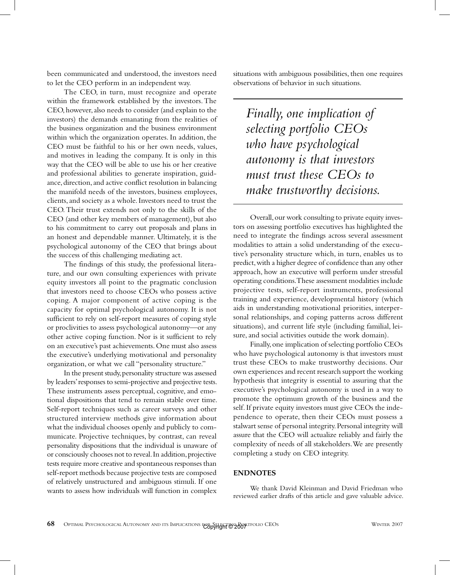been communicated and understood, the investors need to let the CEO perform in an independent way.

The CEO, in turn, must recognize and operate within the framework established by the investors. The CEO, however, also needs to consider (and explain to the investors) the demands emanating from the realities of the business organization and the business environment within which the organization operates. In addition, the CEO must be faithful to his or her own needs, values, and motives in leading the company. It is only in this way that the CEO will be able to use his or her creative and professional abilities to generate inspiration, guidance, direction, and active conflict resolution in balancing the manifold needs of the investors, business employees, clients, and society as a whole. Investors need to trust the CEO. Their trust extends not only to the skills of the CEO (and other key members of management), but also to his commitment to carry out proposals and plans in an honest and dependable manner. Ultimately, it is the psychological autonomy of the CEO that brings about the success of this challenging mediating act.

The findings of this study, the professional literature, and our own consulting experiences with private equity investors all point to the pragmatic conclusion that investors need to choose CEOs who possess active coping. A major component of active coping is the capacity for optimal psychological autonomy. It is not sufficient to rely on self-report measures of coping style or proclivities to assess psychological autonomy—or any other active coping function. Nor is it sufficient to rely on an executive's past achievements. One must also assess the executive's underlying motivational and personality organization, or what we call "personality structure."

In the present study, personality structure was assessed by leaders' responses to semi-projective and projective tests. These instruments assess perceptual, cognitive, and emotional dispositions that tend to remain stable over time. Self-report techniques such as career surveys and other structured interview methods give information about what the individual chooses openly and publicly to communicate. Projective techniques, by contrast, can reveal personality dispositions that the individual is unaware of or consciously chooses not to reveal. In addition, projective tests require more creative and spontaneous responses than self-report methods because projective tests are composed of relatively unstructured and ambiguous stimuli. If one wants to assess how individuals will function in complex

situations with ambiguous possibilities, then one requires observations of behavior in such situations.

*Finally, one implication of selecting portfolio CEOs who have psychological autonomy is that investors must trust these CEOs to make trustworthy decisions.* 

Overall, our work consulting to private equity investors on assessing portfolio executives has highlighted the need to integrate the findings across several assessment modalities to attain a solid understanding of the executive's personality structure which, in turn, enables us to predict, with a higher degree of confidence than any other approach, how an executive will perform under stressful operating conditions. These assessment modalities include projective tests, self-report instruments, professional training and experience, developmental history (which aids in understanding motivational priorities, interpersonal relationships, and coping patterns across different situations), and current life style (including familial, leisure, and social activities outside the work domain).

Finally, one implication of selecting portfolio CEOs who have psychological autonomy is that investors must trust these CEOs to make trustworthy decisions. Our own experiences and recent research support the working hypothesis that integrity is essential to assuring that the executive's psychological autonomy is used in a way to promote the optimum growth of the business and the self. If private equity investors must give CEOs the independence to operate, then their CEOs must possess a stalwart sense of personal integrity. Personal integrity will assure that the CEO will actualize reliably and fairly the complexity of needs of all stakeholders. We are presently completing a study on CEO integrity.

#### **ENDNOTES**

We thank David Kleinman and David Friedman who reviewed earlier drafts of this article and gave valuable advice.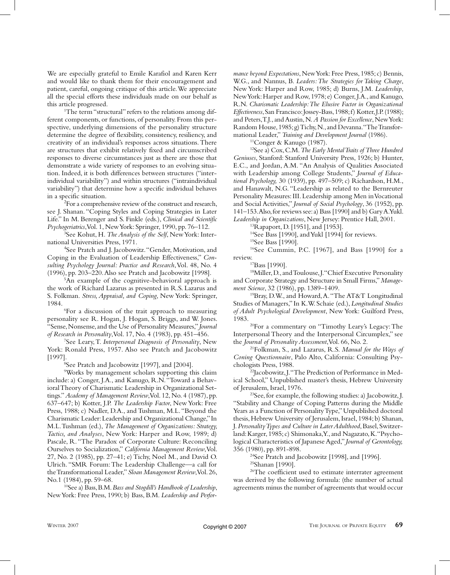We are especially grateful to Emile Karafiol and Karen Kerr and would like to thank them for their encouragement and patient, careful, ongoing critique of this article. We appreciate all the special efforts these individuals made on our behalf as this article progressed.

<sup>1</sup>The term "structural" refers to the relations among different components, or functions, of personality. From this perspective, underlying dimensions of the personality structure determine the degree of flexibility, consistency, resiliency, and creativity of an individual's responses across situations. There are structures that exhibit relatively fixed and circumscribed responses to diverse circumstances just as there are those that demonstrate a wide variety of responses to an evolving situation. Indeed, it is both differences between structures ("interindividual variability") and within structures ("intraindividual variability") that determine how a specific individual behaves in a specific situation.

<sup>2</sup>For a comprehensive review of the construct and research, see J. Shanan. "Coping Styles and Coping Strategies in Later Life." In M. Berenger and S. Finkle (eds.), *Clinical and Scientific Psychogeriatrics*, Vol. 1, New York: Springer, 1990, pp. 76–112.

3 See Kohut, H. *The Analysis of the Self*, New York: International Universities Press, 1971.

4 See Pratch and J. Jacobowitz. "Gender, Motivation, and Coping in the Evaluation of Leadership Effectiveness," *Consulting Psychology Journal: Practice and Research*, Vol. 48, No. 4 (1996), pp. 203–220. Also see Pratch and Jacobowitz [1998].

5 An example of the cognitive-behavioral approach is the work of Richard Lazarus as presented in R.S. Lazarus and S. Folkman. *Stress, Appraisal, and Coping*, New York: Springer, 1984.

6 For a discussion of the trait approach to measuring personality see R. Hogan, J. Hogan, S. Briggs, and W. Jones. "Sense, Nonsense, and the Use of Personality Measures," *Journal of Research in Personality*, Vol. 17, No. 4 (1983), pp. 451–456.

7 See Leary, T. *Interpersonal Diagnosis of Personality*, New York: Ronald Press, 1957. Also see Pratch and Jacobowitz  $[1997]$ .

See Pratch and Jacobowitz [1997], and [2004].

9 Works by management scholars supporting this claim include: a) Conger, J.A., and Kanugo, R.N. "Toward a Behavioral Theory of Charismatic Leadership in Organizational Settings." *Academy of Management Review*, Vol. 12, No. 4 (1987), pp. 637–647; b) Kotter, J.P. *The Leadership Factor*, New York: Free Press, 1988; c) Nadler, D.A., and Tushman, M.L. "Beyond the Charismatic Leader: Leadership and Organizational Change," In M.L. Tushman (ed.), *The Management of Organizations: Strategy, Tactics, and Analyses*, New York: Harper and Row, 1989; d) Pascale, R. "The Paradox of Corporate Culture: Reconciling Ourselves to Socialization," *California Management Review*, Vol. 27, No. 2 (1985), pp. 27–41; e) Tichy, Noel M., and David O. Ulrich. "SMR Forum: The Leadership Challenge—a call for the Transformational Leader," *Sloan Management Review*,Vol. 26, No.1 (1984), pp. 59–68.

10See a) Bass, B.M. *Bass and Stogdill's Handbook of Leadership*, New York: Free Press, 1990; b) Bass, B.M. *Leadership and Perfor-*

*mance beyond Expectations*, New York: Free Press, 1985; c) Bennis, W.G., and Nannus, B. *Leaders: The Strategies for Taking Charge*, New York: Harper and Row, 1985; d) Burns, J.M. *Leadership*, New York: Harper and Row, 1978; e) Conger, J.A., and Kanugo, R.N. *Charismatic Leadership: The Elusive Factor in Organizational Effectiveness*, San Francisco: Jossey-Bass, 1988; f) Kotter, J.P. (1988); and Peters, T.J., and Austin, N. *A Passion for Excellence*, New York: Random House, 1985; g) Tichy, N., and Devanna. "The Transformational Leader," *Training and Development Journal* (1986).

 $11$ Conger & Kanugo (1987).

12See a) Cox, C.M. *The Early Mental Traits of Three Hundred Geniuses*, Stanford: Stanford University Press, 1926; b) Hunter, E.C., and Jordan, A.M. "An Analysis of Qualities Associated with Leadership among College Students," *Journal of Educational Psychology,* 30 (1939), pp. 497–509; c) Richardson, H.M., and Hanawalt, N.G. "Leadership as related to the Bernreuter Personality Measures: III. Leadership among Men in Vocational and Social Activities," *Journal of Social Psychology*, 36 (1952), pp. 141–153. Also, for reviews see: a) Bass [1990] and b) Gary A. Yukl. *Leadership in Organizations*, New Jersey: Prentice Hall, 2001.

13Rapaport, D. [1951], and [1953].

<sup>14</sup>See Bass [1990], and Yukl [1994] for reviews.

15See Bass [1990].

16See Cummin, P.C. [1967], and Bass [1990] for a review.<br> $^{17}$ Bass [1990].

18Miller, D., and Toulouse, J."Chief Executive Personality and Corporate Strategy and Structure in Small Firms," *Management Science*, 32 (1986), pp. 1389–1409.

19Bray, D.W., and Howard, A. "The AT&T Longitudinal Studies of Managers," In K.W. Schaie (ed.), *Longitudinal Studies of Adult Psychological Development*, New York: Guilford Press, 1983.

20For a commentary on "Timothy Leary's Legacy: The Interpersonal Theory and the Interpersonal Circumplex," see the *Journal of Personality Assessment*, Vol. 66, No. 2.

21Folkman, S., and Lazarus, R.S. *Manual for the Ways of Coning Questionnaire*, Palo Alto, California: Consulting Psychologists Press, 1988.

22Jacobowitz, J. "The Prediction of Performance in Medical School," Unpublished master's thesis, Hebrew University of Jerusalem, Israel, 1976.

23See, for example, the following studies: a) Jacobowitz, J. "Stability and Change of Coping Patterns during the Middle Years as a Function of Personality Type," Unpublished doctoral thesis, Hebrew University of Jerusalem, Israel, 1984; b) Shanan, J. *Personality Types and Culture in Later Adulthood*, Basel, Switzerland: Karger, 1985; c) Shimonaka, Y., and Nagazato, K. "Psychological Characteristics of Japanese Aged," *Journal of Gerontology,* 356 (1980), pp. 891-898.

24See Pratch and Jacobowitz [1998], and [1996].

25Shanan [1990].

<sup>26</sup>The coefficient used to estimate interrater agreement was derived by the following formula: (the number of actual agreements minus the number of agreements that would occur